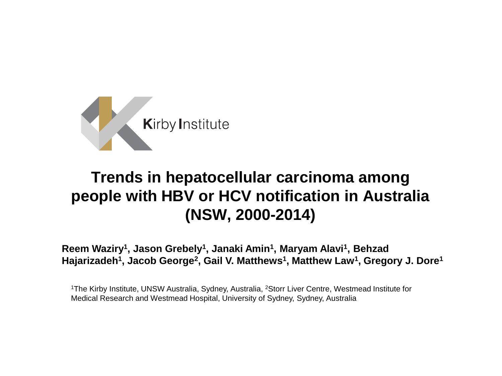

#### **Trends in hepatocellular carcinoma among people with HBV or HCV notification in Australia (NSW, 2000-2014)**

**Reem Waziry<sup>1</sup> , Jason Grebely<sup>1</sup> , Janaki Amin<sup>1</sup> , Maryam Alavi<sup>1</sup> , Behzad**  Hajarizadeh<sup>1</sup>, Jacob George<sup>2</sup>, Gail V. Matthews<sup>1</sup>, Matthew Law<sup>1</sup>, Gregory J. Dore<sup>1</sup>

<sup>1</sup>The Kirby Institute, UNSW Australia, Sydney, Australia, <sup>2</sup>Storr Liver Centre, Westmead Institute for Medical Research and Westmead Hospital, University of Sydney, Sydney, Australia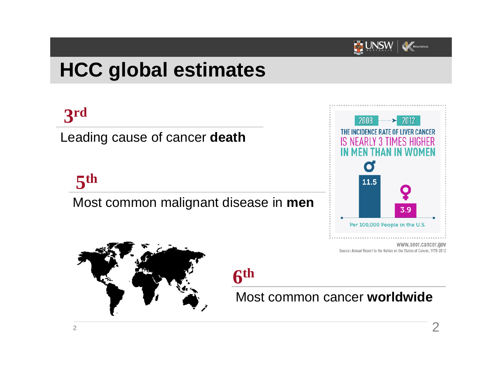

## **HCC global estimates**

# **3 rd**

Leading cause of cancer **death**

# **5 th**

Most common malignant disease in **men**



www.seer.cancer.gov Source: Annual Report to the Nation on the Status of Cancer, 1975-2012



#### **6 th**  $\overline{a}$

Most common cancer **worldwide**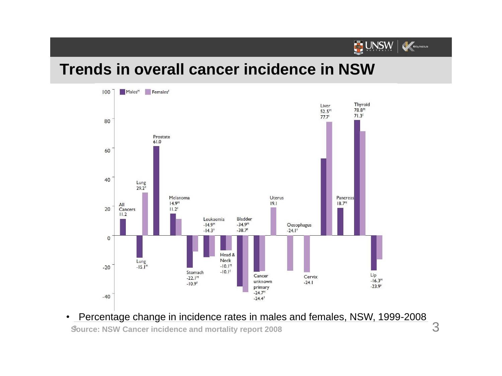

#### **Trends in overall cancer incidence in NSW**



**Source: NSW Cancer incidence and mortality report 2008 <sup>3</sup>** 3• Percentage change in incidence rates in males and females, NSW, 1999-2008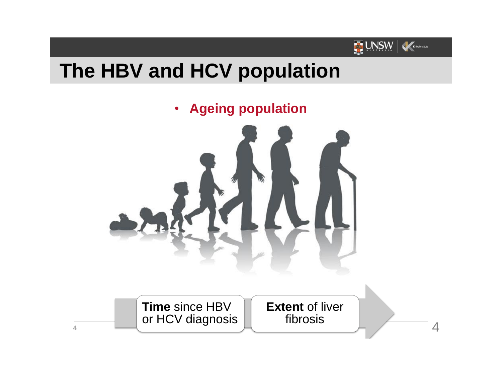

### **The HBV and HCV population**

• **Ageing population**

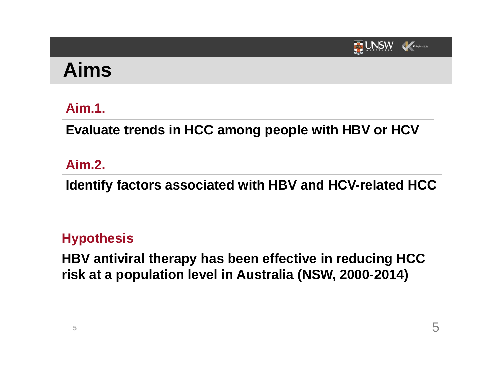

#### **Aims**

#### **Aim.1.**

**Evaluate trends in HCC among people with HBV or HCV** 

#### **Aim.2.**

**Identify factors associated with HBV and HCV-related HCC**

#### **Hypothesis**

**HBV antiviral therapy has been effective in reducing HCC risk at a population level in Australia (NSW, 2000-2014)**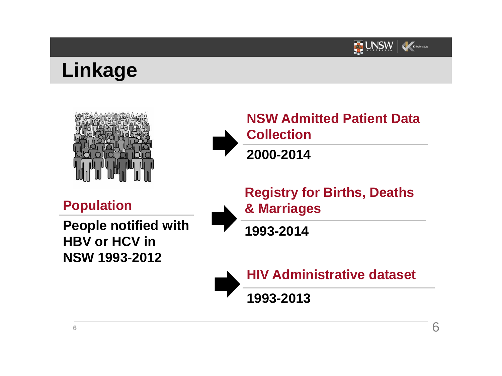

#### **Linkage**





**Population**

**People notified with HBV or HCV in NSW 1993-2012**

**Registry for Births, Deaths & Marriages** 

**1993-2014**



**HIV Administrative dataset**

**1993-2013**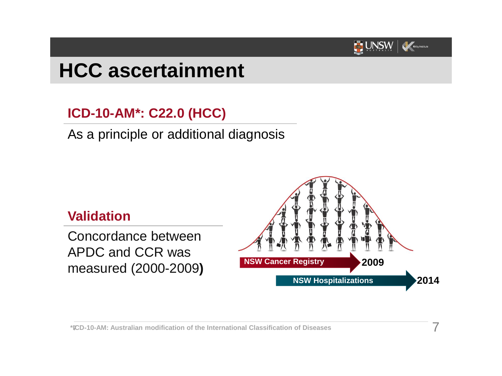

# **HCC ascertainment**

#### **ICD-10-AM\*: C22.0 (HCC)**

As a principle or additional diagnosis



**\*ICD <sup>7</sup> -10-AM: Australian modification of the International Classification of Diseases** 7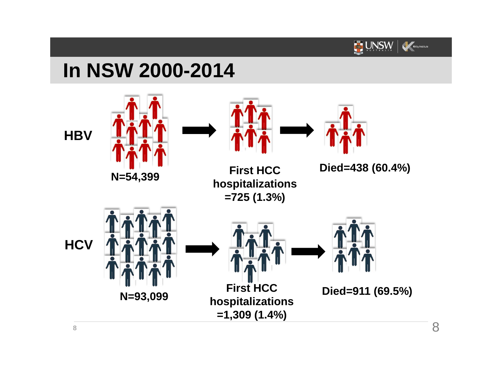

### **In NSW 2000-2014**

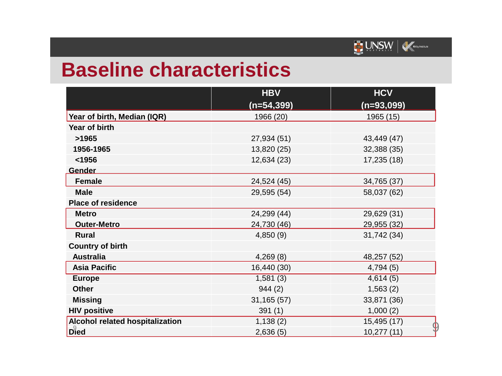

#### **Baseline characteristics**

|                                        | <b>HBV</b>    | <b>HCV</b>                        |
|----------------------------------------|---------------|-----------------------------------|
|                                        | $(n=54, 399)$ | $(n=93,099)$                      |
| Year of birth, Median (IQR)            | 1966 (20)     | 1965 (15)                         |
| Year of birth                          |               |                                   |
| >1965                                  | 27,934 (51)   | 43,449 (47)                       |
| 1956-1965                              | 13,820 (25)   | 32,388 (35)                       |
| < 1956                                 | 12,634 (23)   | 17,235 (18)                       |
| <b>Gender</b>                          |               |                                   |
| <b>Female</b>                          | 24,524 (45)   | 34,765 (37)                       |
| <b>Male</b>                            | 29,595 (54)   | 58,037 (62)                       |
| <b>Place of residence</b>              |               |                                   |
| <b>Metro</b>                           | 24,299 (44)   | 29,629 (31)                       |
| <b>Outer-Metro</b>                     | 24,730 (46)   | 29,955 (32)                       |
| <b>Rural</b>                           | 4,850(9)      | 31,742 (34)                       |
| <b>Country of birth</b>                |               |                                   |
| <b>Australia</b>                       | 4,269(8)      | 48,257 (52)                       |
| <b>Asia Pacific</b>                    | 16,440 (30)   | 4,794(5)                          |
| <b>Europe</b>                          | 1,581(3)      | $\sqrt{4,614(5)}$                 |
| <b>Other</b>                           | 944(2)        | 1,563(2)                          |
| <b>Missing</b>                         | 31,165(57)    | 33,871 (36)                       |
| <b>HIV positive</b>                    | 391(1)        | 1,000(2)                          |
| <b>Alcohol related hospitalization</b> | 1,138(2)      | 15,495 (17)                       |
| Died                                   | 2,636(5)      | $\boldsymbol{\Phi}$<br>10,277(11) |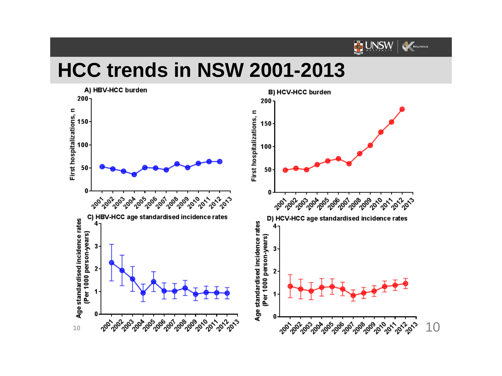

## **HCC trends in NSW 2001-2013**

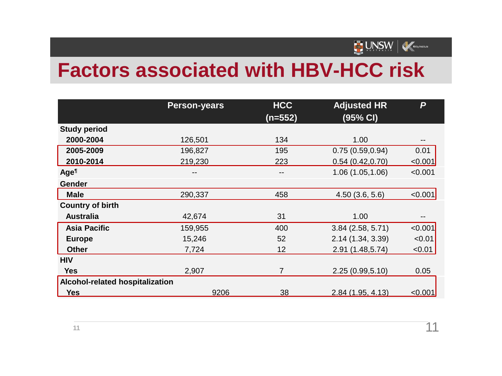

## **Factors associated with HBV-HCC risk**

|                                 | <b>Person-years</b> | <b>HCC</b><br>$(n=552)$ | <b>Adjusted HR</b><br>(95% CI) | P       |
|---------------------------------|---------------------|-------------------------|--------------------------------|---------|
| <b>Study period</b>             |                     |                         |                                |         |
| 2000-2004                       | 126,501             | 134                     | 1.00                           |         |
| 2005-2009                       | 196,827             | 195                     | 0.75(0.59, 0.94)               | 0.01    |
| 2010-2014                       | 219,230             | 223                     | 0.54(0.42, 0.70)               | < 0.001 |
| Age <sup>T</sup>                |                     | $- -$                   | 1.06 (1.05,1.06)               | < 0.001 |
| Gender                          |                     |                         |                                |         |
| <b>Male</b>                     | 290,337             | 458                     | 4.50(3.6, 5.6)                 | < 0.001 |
| <b>Country of birth</b>         |                     |                         |                                |         |
| <b>Australia</b>                | 42,674              | 31                      | 1.00                           |         |
| <b>Asia Pacific</b>             | 159,955             | 400                     | 3.84(2.58, 5.71)               | < 0.001 |
| <b>Europe</b>                   | 15,246              | 52                      | 2.14 (1.34, 3.39)              | < 0.01  |
| <b>Other</b>                    | 7,724               | 12                      | 2.91 (1.48,5.74)               | < 0.01  |
| <b>HIV</b>                      |                     |                         |                                |         |
| <b>Yes</b>                      | 2,907               | $\overline{7}$          | 2.25(0.99, 5.10)               | 0.05    |
| Alcohol-related hospitalization |                     |                         |                                |         |
| <b>Yes</b>                      | 9206                | 38                      | 2.84(1.95, 4.13)               | < 0.001 |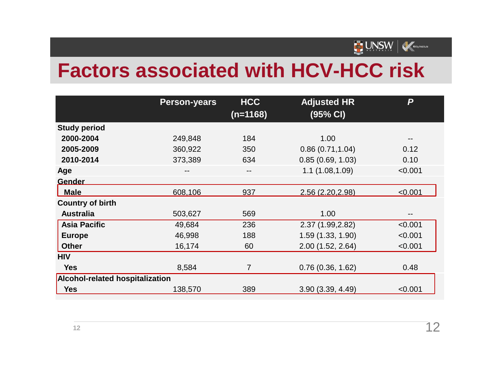

## **Factors associated with HCV-HCC risk**

|                                        | <b>Person-years</b> | <b>HCC</b>     | <b>Adjusted HR</b> | P                        |
|----------------------------------------|---------------------|----------------|--------------------|--------------------------|
|                                        |                     | $(n=1168)$     | (95% CI)           |                          |
| <b>Study period</b>                    |                     |                |                    |                          |
| 2000-2004                              | 249,848             | 184            | 1.00               |                          |
| 2005-2009                              | 360,922             | 350            | 0.86(0.71, 1.04)   | 0.12                     |
| 2010-2014                              | 373,389             | 634            | 0.85(0.69, 1.03)   | 0.10                     |
| Age                                    | --                  | --             | 1.1(1.08, 1.09)    | < 0.001                  |
| <b>Gender</b>                          |                     |                |                    |                          |
| <b>Male</b>                            | 608,106             | 937            | 2.56 (2.20, 2.98)  | < 0.001                  |
| <b>Country of birth</b>                |                     |                |                    |                          |
| <b>Australia</b>                       | 503,627             | 569            | 1.00               | $\overline{\phantom{m}}$ |
| <b>Asia Pacific</b>                    | 49,684              | 236            | 2.37 (1.99, 2.82)  | < 0.001                  |
| <b>Europe</b>                          | 46,998              | 188            | 1.59 (1.33, 1.90)  | < 0.001                  |
| <b>Other</b>                           | 16,174              | 60             | 2.00 (1.52, 2.64)  | < 0.001                  |
| <b>HIV</b>                             |                     |                |                    |                          |
| <b>Yes</b>                             | 8,584               | $\overline{7}$ | 0.76(0.36, 1.62)   | 0.48                     |
| <b>Alcohol-related hospitalization</b> |                     |                |                    |                          |
| <b>Yes</b>                             | 138,570             | 389            | 3.90 (3.39, 4.49)  | < 0.001                  |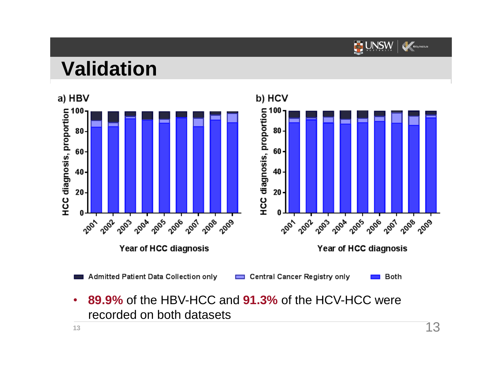

## **Validation**



• **89.9%** of the HBV-HCC and **91.3%** of the HCV-HCC were recorded on both datasets **13** 13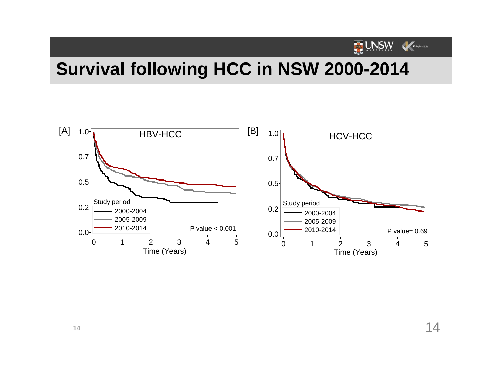

#### **Survival following HCC in NSW 2000-2014**

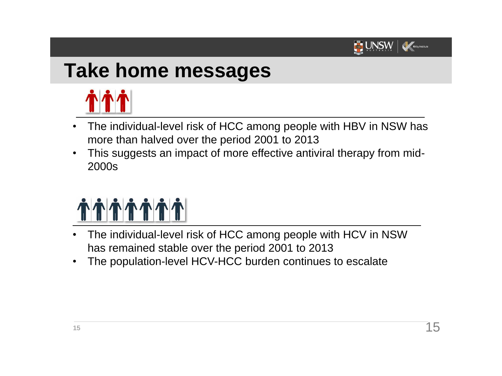

# **Take home messages**



- The individual-level risk of HCC among people with HBV in NSW has more than halved over the period 2001 to 2013
- This suggests an impact of more effective antiviral therapy from mid-2000s



- The individual-level risk of HCC among people with HCV in NSW has remained stable over the period 2001 to 2013
- The population-level HCV-HCC burden continues to escalate